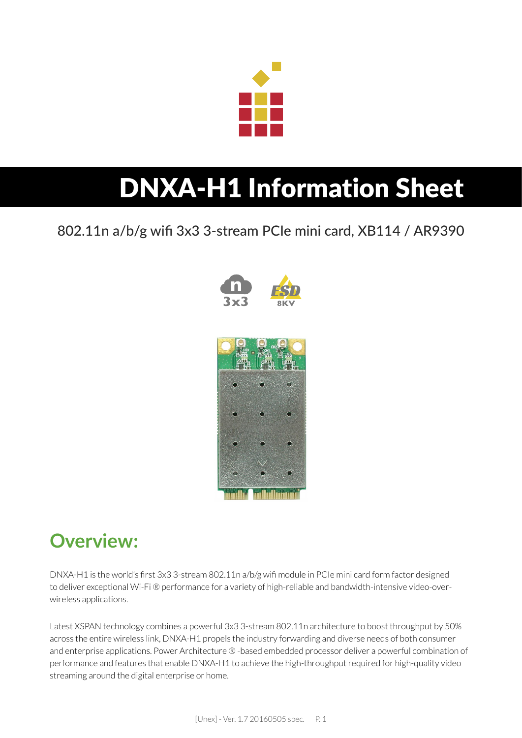

# DNXA-H1 Information Sheet

802.11n a/b/g wifi 3x3 3-stream PCIe mini card, XB114 / AR9390



### **Overview:**

DNXA-H1 is the world's first 3x3 3-stream 802.11n a/b/g wifi module in PCIe mini card form factor designed to deliver exceptional Wi-Fi ® performance for a variety of high-reliable and bandwidth-intensive video-overwireless applications.

Latest XSPAN technology combines a powerful 3x3 3-stream 802.11n architecture to boost throughput by 50% across the entire wireless link, DNXA-H1 propels the industry forwarding and diverse needs of both consumer and enterprise applications. Power Architecture ® -based embedded processor deliver a powerful combination of performance and features that enable DNXA-H1 to achieve the high-throughput required for high-quality video streaming around the digital enterprise or home.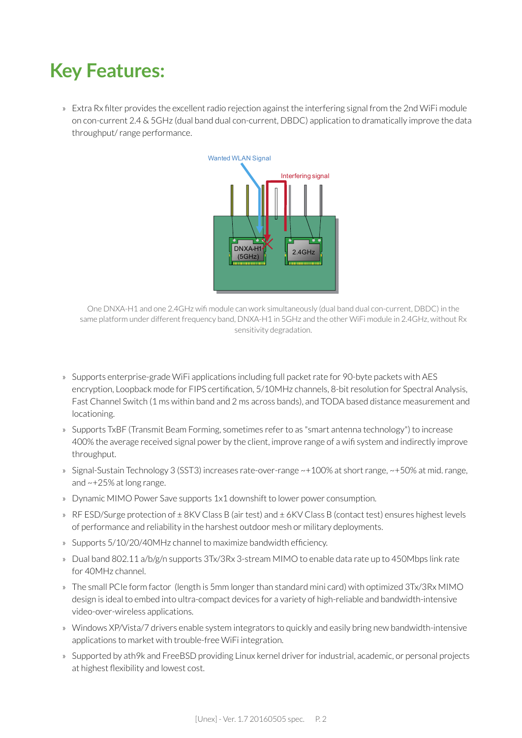### **Key Features:**

» Extra Rx filter provides the excellent radio rejection against the interfering signal from the 2nd WiFi module on con-current 2.4 & 5GHz (dual band dual con-current, DBDC) application to dramatically improve the data throughput/ range performance.



One DNXA-H1 and one 2.4GHz wifi module can work simultaneously (dual band dual con-current, DBDC) in the same platform under different frequency band, DNXA-H1 in 5GHz and the other WiFi module in 2.4GHz, without Rx sensitivity degradation.

- » Supports enterprise-grade WiFi applications including full packet rate for 90-byte packets with AES encryption, Loopback mode for FIPS certification, 5/10MHz channels, 8-bit resolution for Spectral Analysis, Fast Channel Switch (1 ms within band and 2 ms across bands), and TODA based distance measurement and locationing.
- » Supports TxBF (Transmit Beam Forming, sometimes refer to as "smart antenna technology") to increase 400% the average received signal power by the client, improve range of a wifi system and indirectly improve throughput.
- » Signal-Sustain Technology 3 (SST3) increases rate-over-range ~+100% at short range, ~+50% at mid. range, and ~+25% at long range.
- » Dynamic MIMO Power Save supports 1x1 downshift to lower power consumption.
- » RF ESD/Surge protection of  $\pm$  8KV Class B (air test) and  $\pm$  6KV Class B (contact test) ensures highest levels of performance and reliability in the harshest outdoor mesh or military deployments.
- » Supports 5/10/20/40MHz channel to maximize bandwidth efficiency.
- » Dual band 802.11 a/b/g/n supports 3Tx/3Rx 3-stream MIMO to enable data rate up to 450Mbps link rate for 40MHz channel.
- » The small PCIe form factor (length is 5mm longer than standard mini card) with optimized 3Tx/3Rx MIMO design is ideal to embed into ultra-compact devices for a variety of high-reliable and bandwidth-intensive video-over-wireless applications.
- » Windows XP/Vista/7 drivers enable system integrators to quickly and easily bring new bandwidth-intensive applications to market with trouble-free WiFi integration.
- » Supported by ath9k and FreeBSD providing Linux kernel driver for industrial, academic, or personal projects at highest flexibility and lowest cost.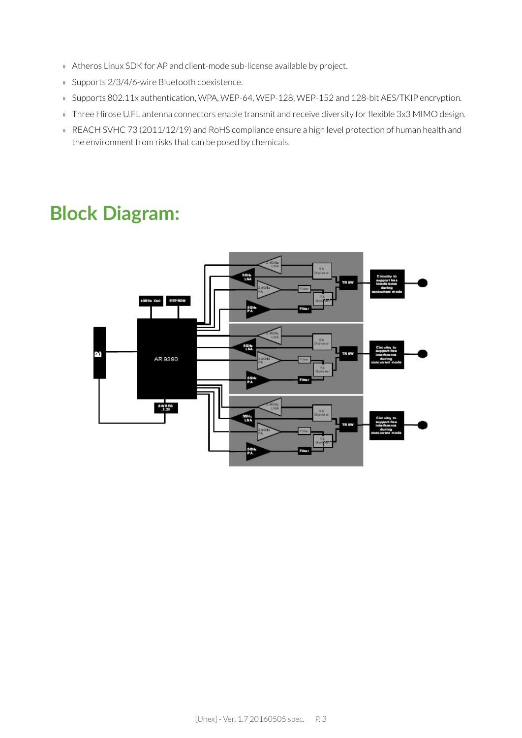- » Atheros Linux SDK for AP and client-mode sub-license available by project.
- » Supports 2/3/4/6-wire Bluetooth coexistence.
- » Supports 802.11x authentication, WPA, WEP-64, WEP-128, WEP-152 and 128-bit AES/TKIP encryption.
- » Three Hirose U.FL antenna connectors enable transmit and receive diversity for flexible 3x3 MIMO design.
- » REACH SVHC 73 (2011/12/19) and RoHS compliance ensure a high level protection of human health and the environment from risks that can be posed by chemicals.

### **Block Diagram:**

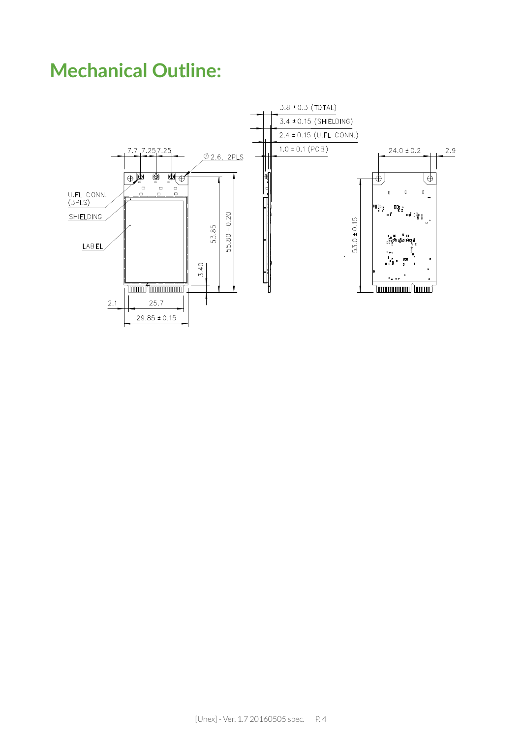### **Mechanical Outline:**

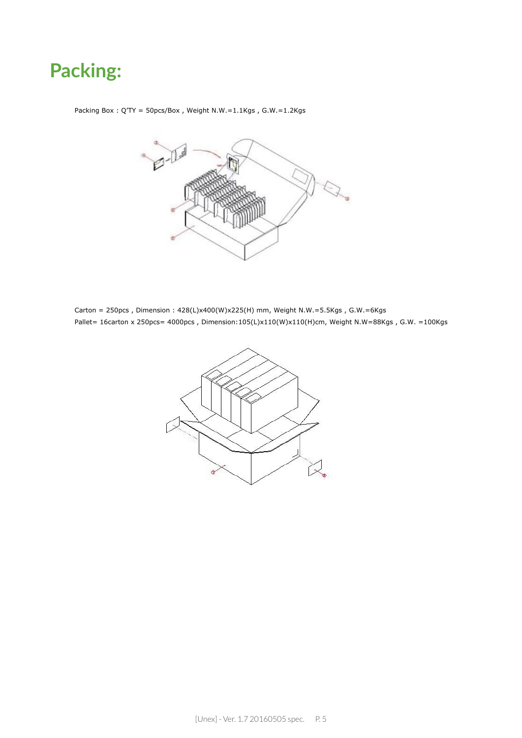### **Packing:**

Packing Box : Q'TY = 50pcs/Box , Weight N.W.=1.1Kgs , G.W.=1.2Kgs



Carton = 250pcs , Dimension : 428(L)x400(W)x225(H) mm, Weight N.W.=5.5Kgs , G.W.=6Kgs Pallet= 16carton x 250pcs= 4000pcs, Dimension:105(L)x110(W)x110(H)cm, Weight N.W=88Kgs, G.W. =100Kgs

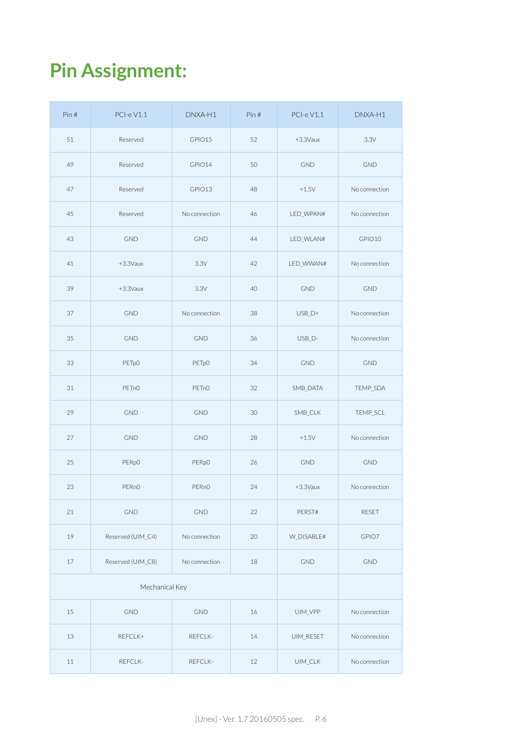## **Pin Assignment:**

| Pin#           | PCI-eV1.1          | DNXA-H1            | Pin# | PCI-eV1.1                        | DNXA-H1       |
|----------------|--------------------|--------------------|------|----------------------------------|---------------|
| 51             | Reserved           | GPIO15             | 52   | +3.3Vaux                         | 3.3V          |
| 49             | Reserved           | GPIO14             | 50   | <b>GND</b>                       | <b>GND</b>    |
| 47             | Reserved           | GPIO13             | 48   | $+1.5V$                          | No connection |
| 45             | Reserved           | No connection      | 46   | LED_WPAN#                        | No connection |
| 43             | <b>GND</b>         | <b>GND</b>         | 44   | LED_WLAN#                        | GPIO10        |
| 41             | +3.3Vaux           | 3.3V               | 42   | LED_WWAN#                        | No connection |
| 39             | $+3.3$ Vaux        | 3.3V               | 40   | <b>GND</b>                       | <b>GND</b>    |
| 37             | <b>GND</b>         | No connection      | 38   | $USB_D+$                         | No connection |
| 35             | <b>GND</b>         | <b>GND</b>         | 36   | USB_D-                           | No connection |
| 33             | PETpO              | PET <sub>p</sub> O | 34   | <b>GND</b>                       | <b>GND</b>    |
| 31             | PET <sub>n</sub> O | PET <sub>nO</sub>  | 32   | SMB_DATA                         | TEMP_SDA      |
| 29             | <b>GND</b>         | <b>GND</b>         | 30   | SMB_CLK                          | TEMP_SCL      |
| 27             | <b>GND</b>         | <b>GND</b>         | 28   | $+1.5V$                          | No connection |
| 25             | PER <sub>pO</sub>  | PER <sub>pO</sub>  | 26   | <b>GND</b>                       | <b>GND</b>    |
| 23             | PER <sub>nO</sub>  | PER <sub>nO</sub>  | 24   | +3.3Vaux                         | No connection |
| 21             | <b>GND</b>         | <b>GND</b>         | 22   | PERST#                           | <b>RESET</b>  |
| 19             | Reserved (UIM_C4)  | No connection      | 20   | W_DISABLE#                       | GPIO7         |
| 17             | Reserved (UIM_C8)  | No connection      | 18   | <b>GND</b>                       | <b>GND</b>    |
| Mechanical Key |                    |                    |      |                                  |               |
| 15             | <b>GND</b>         | <b>GND</b>         | 16   | UIM_VPP                          | No connection |
| 13             | REFCLK+            | REFCLK-            | 14   | UIM_RESET                        | No connection |
| 11             | REFCLK-            | REFCLK-            | 12   | $\ensuremath{\mathsf{UIM\_CLK}}$ | No connection |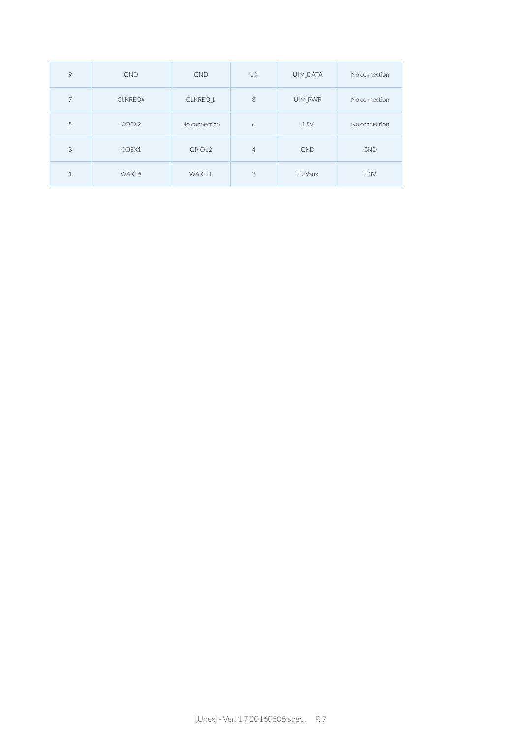| 9            | <b>GND</b> | <b>GND</b>    | 10             | UIM DATA   | No connection |
|--------------|------------|---------------|----------------|------------|---------------|
| 7            | CLKREQ#    | CLKREQ L      | 8              | UIM PWR    | No connection |
| 5            | COEX2      | No connection | 6              | 1.5V       | No connection |
| 3            | COEX1      | GPIO12        | $\overline{4}$ | <b>GND</b> | <b>GND</b>    |
| $\mathbf{1}$ | WAKE#      | WAKE L        | $\mathfrak{D}$ | 3.3Vaux    | 3.3V          |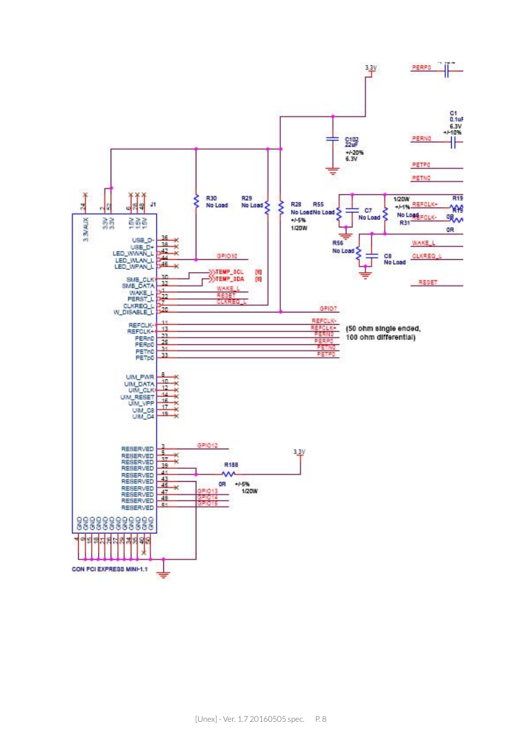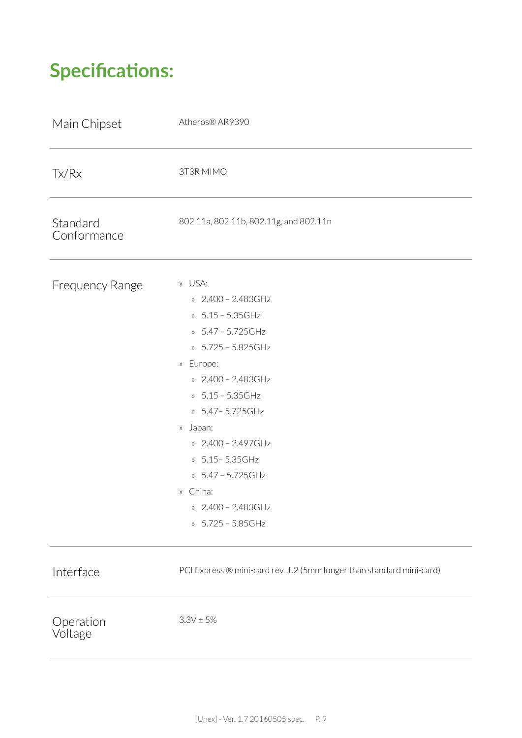## **Specifications:**

| Main Chipset            | Atheros® AR9390                                                                                                                                                                                                                                                                                                                 |
|-------------------------|---------------------------------------------------------------------------------------------------------------------------------------------------------------------------------------------------------------------------------------------------------------------------------------------------------------------------------|
| Tx/Rx                   | 3T3R MIMO                                                                                                                                                                                                                                                                                                                       |
| Standard<br>Conformance | 802.11a, 802.11b, 802.11g, and 802.11n                                                                                                                                                                                                                                                                                          |
| Frequency Range         | » USA:<br>» 2.400 - 2.483GHz<br>» 5.15 - 5.35GHz<br>» 5.47 - 5.725GHz<br>» 5.725 - 5.825GHz<br>Europe:<br>$\rangle\!\rangle$<br>» 2.400 - 2.483GHz<br>» 5.15 - 5.35GHz<br>» 5.47 - 5.725 GHz<br>» Japan:<br>» 2.400 - 2.497GHz<br>» 5.15 - 5.35 GHz<br>» 5.47 - 5.725GHz<br>» China:<br>» 2.400 - 2.483GHz<br>» 5.725 - 5.85GHz |
| Interface               | PCI Express ® mini-card rev. 1.2 (5mm longer than standard mini-card)                                                                                                                                                                                                                                                           |
| Operation<br>Voltage    | $3.3V \pm 5%$                                                                                                                                                                                                                                                                                                                   |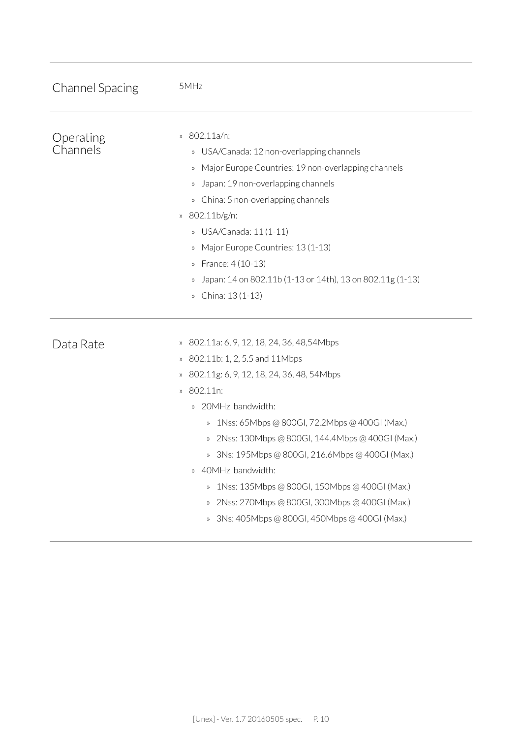| <b>Channel Spacing</b> | 5MHz                                                                                                                                                                                                                                                                                                                                                                                                                                                                                                                                                                                                                                                                                                          |
|------------------------|---------------------------------------------------------------------------------------------------------------------------------------------------------------------------------------------------------------------------------------------------------------------------------------------------------------------------------------------------------------------------------------------------------------------------------------------------------------------------------------------------------------------------------------------------------------------------------------------------------------------------------------------------------------------------------------------------------------|
| Operating<br>Channels  | 802.11a/n:<br>$\rangle\!\rangle$<br>» USA/Canada: 12 non-overlapping channels<br>» Major Europe Countries: 19 non-overlapping channels<br>Japan: 19 non-overlapping channels<br>$\rangle\!\rangle$<br>» China: 5 non-overlapping channels<br>802.11b/g/n:<br>$\rangle\!\rangle$<br>» USA/Canada: 11 (1-11)<br>Major Europe Countries: 13 (1-13)<br>$\rangle\!\rangle$<br>» France: 4 (10-13)<br>Japan: 14 on 802.11b (1-13 or 14th), 13 on 802.11g (1-13)<br>$\rangle$<br>» China: 13 (1-13)                                                                                                                                                                                                                  |
| Data Rate              | 802.11a: 6, 9, 12, 18, 24, 36, 48, 54 Mbps<br>$\rangle\!\rangle$<br>» 802.11b: 1, 2, 5.5 and 11Mbps<br>802.11g: 6, 9, 12, 18, 24, 36, 48, 54Mbps<br>$\rangle\!\rangle$<br>802.11n:<br>$\rangle$<br>20MHz bandwidth:<br>$\rangle$<br>1Nss: 65Mbps @ 800GI, 72.2Mbps @ 400GI (Max.)<br>$\rangle\!\rangle$<br>2Nss: 130Mbps @ 800GI, 144.4Mbps @ 400GI (Max.)<br>$\rangle\!\rangle$<br>3Ns: 195Mbps @ 800GI, 216.6Mbps @ 400GI (Max.)<br>$\rangle\!\rangle$<br>40MHz bandwidth:<br>$\rangle$<br>1Nss: 135Mbps @ 800GI, 150Mbps @ 400GI (Max.)<br>$\rangle\!\rangle$<br>2Nss: 270Mbps @ 800GI, 300Mbps @ 400GI (Max.)<br>$\rangle\!\rangle$<br>3Ns: 405Mbps @ 800GI, 450Mbps @ 400GI (Max.)<br>$\rangle\!\rangle$ |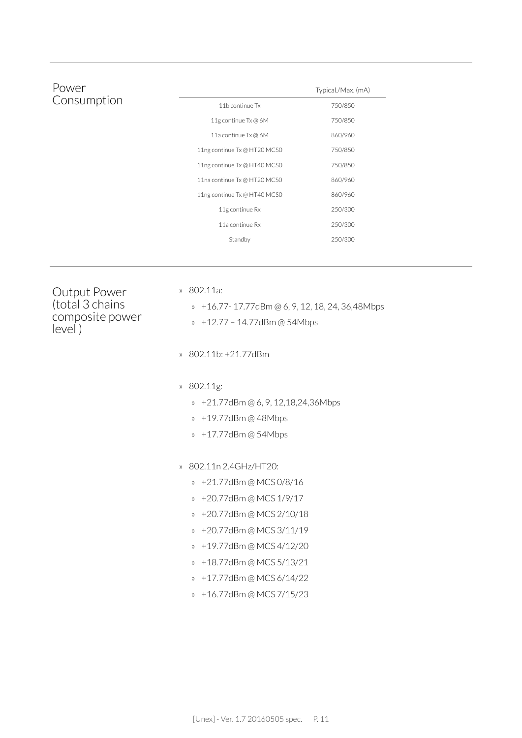| Power       |                              | Typical./Max. (mA) |
|-------------|------------------------------|--------------------|
| Consumption | 11b continue Tx              | 750/850            |
|             | 11g continue Tx @ 6M         | 750/850            |
|             | 11a continue Tx @ 6M         | 860/960            |
|             | 11ng continue Tx @ HT20 MCS0 | 750/850            |
|             | 11ng continue Tx @ HT40 MCS0 | 750/850            |
|             | 11na continue Tx @ HT20 MCS0 | 860/960            |
|             | 11ng continue Tx @ HT40 MCS0 | 860/960            |
|             | 11g continue Rx              | 250/300            |
|             | 11a continue Rx              | 250/300            |
|             | Standby                      | 250/300            |

Output Power (total 3 chains composite power level )

» 802.11a:

» +16.77- 17.77dBm @ 6, 9, 12, 18, 24, 36,48Mbps

- » +12.77 14.77dBm @ 54Mbps
- » 802.11b: +21.77dBm
- » 802.11g:
	- » +21.77dBm @ 6, 9, 12,18,24,36Mbps
	- » +19.77dBm @ 48Mbps
	- » +17.77dBm @ 54Mbps
- » 802.11n 2.4GHz/HT20:
	- » +21.77dBm @ MCS 0/8/16
	- » +20.77dBm @ MCS 1/9/17
	- » +20.77dBm @ MCS 2/10/18
	- » +20.77dBm @ MCS 3/11/19
	- » +19.77dBm @ MCS 4/12/20
	- » +18.77dBm @ MCS 5/13/21
	- » +17.77dBm @ MCS 6/14/22
	- » +16.77dBm @ MCS 7/15/23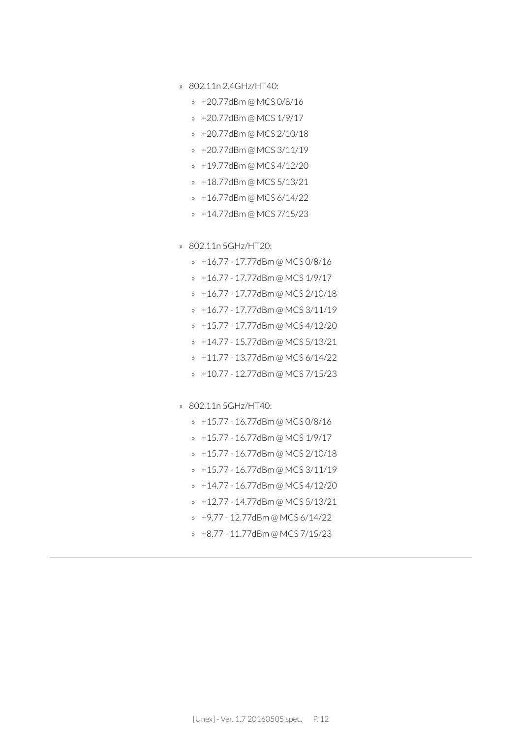- » 802.11n 2.4GHz/HT40:
	- » +20.77dBm @ MCS 0/8/16
	- » +20.77dBm @ MCS 1/9/17
	- » +20.77dBm @ MCS 2/10/18
	- » +20.77dBm @ MCS 3/11/19
	- » +19.77dBm @ MCS 4/12/20
	- » +18.77dBm @ MCS 5/13/21
	- » +16.77dBm @ MCS 6/14/22
	- » +14.77dBm @ MCS 7/15/23
- » 802.11n 5GHz/HT20:
	- » +16.77 17.77dBm @ MCS 0/8/16
	- » +16.77 17.77dBm @ MCS 1/9/17
	- » +16.77 17.77dBm @ MCS 2/10/18
	- » +16.77 17.77dBm @ MCS 3/11/19
	- » +15.77 17.77dBm @ MCS 4/12/20
	- » +14.77 15.77dBm @ MCS 5/13/21
	- » +11.77 13.77dBm @ MCS 6/14/22
	- » +10.77 12.77dBm @ MCS 7/15/23
- » 802.11n 5GHz/HT40:
	- » +15.77 16.77dBm @ MCS 0/8/16
	- » +15.77 16.77dBm @ MCS 1/9/17
	- » +15.77 16.77dBm @ MCS 2/10/18
	- » +15.77 16.77dBm @ MCS 3/11/19
	- » +14.77 16.77dBm @ MCS 4/12/20
	- » +12.77 14.77dBm @ MCS 5/13/21
	- » +9.77 12.77dBm @ MCS 6/14/22
	- » +8.77 11.77dBm @ MCS 7/15/23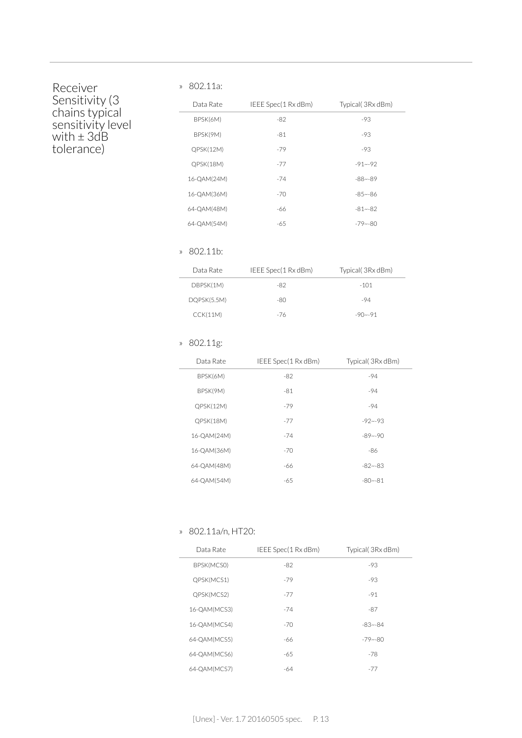### Receiver Sensitivity (3 chains typical sensitivity level with ± 3dB tolerance)

#### » 802.11a:

| Data Rate   | IEEE Spec(1 Rx dBm) | Typical(3Rx dBm) |  |
|-------------|---------------------|------------------|--|
| BPSK(6M)    | $-82$               | $-93$            |  |
| BPSK(9M)    | $-81$               | $-93$            |  |
| QPSK(12M)   | $-79$               | $-93$            |  |
| QPSK(18M)   | $-77$               | $-91 - -92$      |  |
| 16-QAM(24M) | $-74$               | $-88 - -89$      |  |
| 16-QAM(36M) | $-70$               | $-85 - -86$      |  |
| 64-OAM(48M) | -66                 | $-81 - -82$      |  |
| 64-QAM(54M) | $-65$               | $-79 - 80$       |  |

#### » 802.11b:

| Data Rate   | IEEE Spec(1 Rx dBm) | Typical (3Rx dBm) |
|-------------|---------------------|-------------------|
| DBPSK(1M)   | -82                 | $-101$            |
| DQPSK(5.5M) | -80                 | -94               |
| CCK(11M)    | -76                 | $-90 - -91$       |

#### » 802.11g:

| Data Rate   | IEEE Spec(1 Rx dBm) | Typical(3Rx dBm) |
|-------------|---------------------|------------------|
| BPSK(6M)    | $-82$               | $-94$            |
| BPSK(9M)    | $-81$               | $-94$            |
| QPSK(12M)   | $-79$               | $-94$            |
| QPSK(18M)   | $-77$               | $-92 - -93$      |
| 16-QAM(24M) | $-74$               | $-89 - -90$      |
| 16-QAM(36M) | $-70$               | $-86$            |
| 64-OAM(48M) | -66                 | $-82 - -83$      |
| 64-QAM(54M) | $-65$               | $-80 - -81$      |

#### » 802.11a/n, HT20:

| Data Rate    | IEEE Spec(1 Rx dBm) | Typical (3Rx dBm) |
|--------------|---------------------|-------------------|
| BPSK(MCSO)   | $-82$               | -93               |
| QPSK(MCS1)   | $-79$               | $-93$             |
| QPSK(MCS2)   | $-77$               | $-91$             |
| 16-QAM(MCS3) | $-74$               | $-87$             |
| 16-QAM(MCS4) | $-70$               | $-83 - -84$       |
| 64-QAM(MCS5) | -66                 | $-79 - 80$        |
| 64-QAM(MCS6) | $-65$               | $-78$             |
| 64-OAM(MCS7) | -64                 | $-77$             |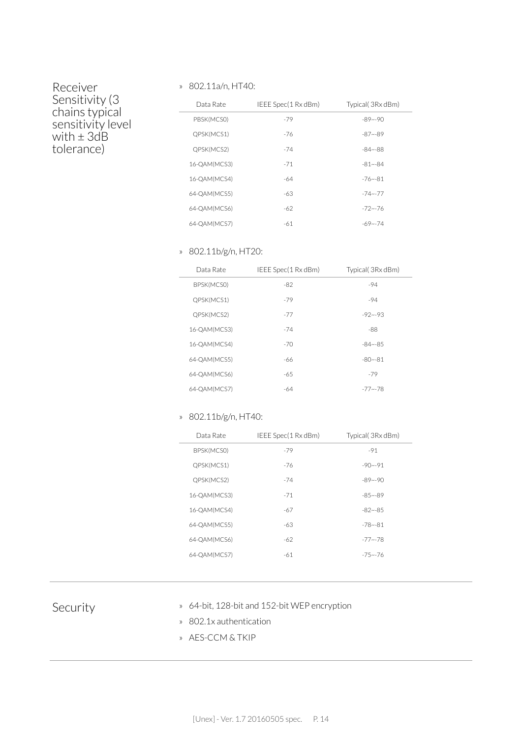### Receiver Sensitivity (3 chains typical sensitivity level with ± 3dB tolerance)

#### » 802.11a/n, HT40:

| Data Rate    | IEEE Spec(1 Rx dBm) | Typical(3Rx dBm) |
|--------------|---------------------|------------------|
| PBSK(MCSO)   | $-79$               | $-89 - -90$      |
| QPSK(MCS1)   | -76                 | $-87 - -89$      |
| QPSK(MCS2)   | $-74$               | $-84 - -88$      |
| 16-QAM(MCS3) | $-71$               | $-81 - -84$      |
| 16-QAM(MCS4) | -64                 | $-76 - 81$       |
| 64-QAM(MCS5) | $-63$               | $-74 - 77$       |
| 64-QAM(MCS6) | $-62$               | $-72 - 76$       |
| 64-QAM(MCS7) | $-61$               | $-69 - 74$       |

#### » 802.11b/g/n, HT20:

| Data Rate    | IEEE Spec(1 Rx dBm) | Typical (3Rx dBm) |
|--------------|---------------------|-------------------|
| BPSK(MCSO)   | $-82$               | $-94$             |
| QPSK(MCS1)   | $-79$               | $-94$             |
| QPSK(MCS2)   | $-77$               | $-92 - -93$       |
| 16-QAM(MCS3) | $-74$               | $-88$             |
| 16-QAM(MCS4) | $-70$               | $-84 - -85$       |
| 64-QAM(MCS5) | -66                 | $-80 - -81$       |
| 64-QAM(MCS6) | -65                 | $-79$             |
| 64-QAM(MCS7) | -64                 | $-77 - -78$       |

#### » 802.11b/g/n, HT40:

| Data Rate    | IEEE Spec(1 Rx dBm) | Typical (3Rx dBm) |
|--------------|---------------------|-------------------|
| BPSK(MCSO)   | $-79$               | $-91$             |
| QPSK(MCS1)   | -76                 | $-90 - -91$       |
| QPSK(MCS2)   | $-74$               | $-89 - -90$       |
| 16-QAM(MCS3) | $-71$               | $-85 - -89$       |
| 16-QAM(MCS4) | -67                 | $-82 - -85$       |
| 64-QAM(MCS5) | -63                 | $-78 - 81$        |
| 64-QAM(MCS6) | $-62$               | $-77 - -78$       |
| 64-QAM(MCS7) | -61                 | $-75 - -76$       |
|              |                     |                   |

- Security » 64-bit, 128-bit and 152-bit WEP encryption
	- » 802.1x authentication
	- » AES-CCM & TKIP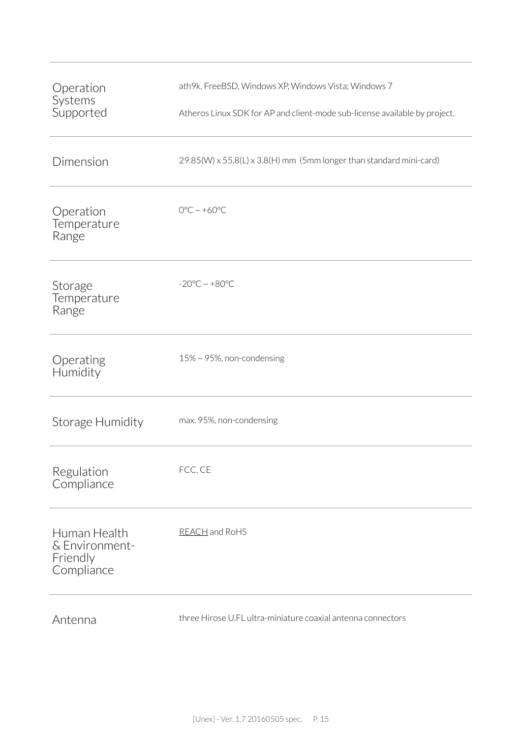| Operation<br>Systems<br>Supported                        | ath9k, FreeBSD, Windows XP, Windows Vista; Windows 7<br>Atheros Linux SDK for AP and client-mode sub-license available by project. |
|----------------------------------------------------------|------------------------------------------------------------------------------------------------------------------------------------|
| Dimension                                                | 29.85(W) x 55.8(L) x 3.8(H) mm (5mm longer than standard mini-card)                                                                |
| Operation<br>Temperature<br>Range                        | $0^{\circ}$ C ~ +60 $^{\circ}$ C                                                                                                   |
| Storage<br>Temperature<br>Range                          | $-20^{\circ}$ C ~ $+80^{\circ}$ C                                                                                                  |
| Operating<br>Humidity                                    | $15\% \sim 95\%$ , non-condensing                                                                                                  |
| Storage Humidity                                         | max. 95%, non-condensing                                                                                                           |
| Regulation<br>Compliance                                 | FCC, CE                                                                                                                            |
| Human Health<br>& Environment-<br>Friendly<br>Compliance | REACH and RoHS                                                                                                                     |
|                                                          |                                                                                                                                    |

Antenna three Hirose U.FL ultra-miniature coaxial antenna connectors